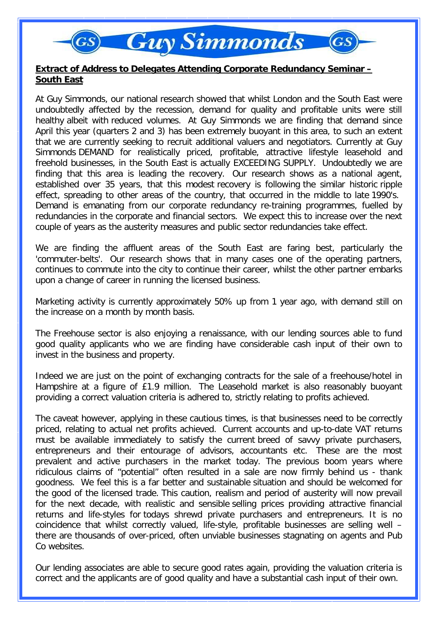## **Guy Simmonds**

## **Extract of Address to Delegates Attending Corporate Redundancy Seminar – South East**

At Guy Simmonds, our national research showed that whilst London and the South East were undoubtedly affected by the recession, demand for quality and profitable units were still healthy albeit with reduced volumes. At Guy Simmonds we are finding that demand since April this year (quarters 2 and 3) has been extremely buoyant in this area, to such an extent that we are currently seeking to recruit additional valuers and negotiators. Currently at Guy Simmonds DEMAND for realistically priced, profitable, attractive lifestyle leasehold and freehold businesses, in the South East is actually EXCEEDING SUPPLY. Undoubtedly we are finding that this area is leading the recovery. Our research shows as a national agent, established over 35 years, that this modest recovery is following the similar historic ripple effect, spreading to other areas of the country, that occurred in the middle to late 1990's. Demand is emanating from our corporate redundancy re-training programmes, fuelled by redundancies in the corporate and financial sectors. We expect this to increase over the next couple of years as the austerity measures and public sector redundancies take effect.

We are finding the affluent areas of the South East are faring best, particularly the 'commuter-belts'. Our research shows that in many cases one of the operating partners, continues to commute into the city to continue their career, whilst the other partner embarks upon a change of career in running the licensed business.

Marketing activity is currently approximately 50% up from 1 year ago, with demand still on the increase on a month by month basis.

The Freehouse sector is also enjoying a renaissance, with our lending sources able to fund good quality applicants who we are finding have considerable cash input of their own to invest in the business and property.

Indeed we are just on the point of exchanging contracts for the sale of a freehouse/hotel in Hampshire at a figure of £1.9 million. The Leasehold market is also reasonably buoyant providing a correct valuation criteria is adhered to, strictly relating to profits achieved.

The caveat however, applying in these cautious times, is that businesses need to be correctly priced, relating to actual net profits achieved. Current accounts and up-to-date VAT returns must be available immediately to satisfy the current breed of savvy private purchasers, entrepreneurs and their entourage of advisors, accountants etc. These are the most prevalent and active purchasers in the market today. The previous boom years where ridiculous claims of "potential" often resulted in a sale are now firmly behind us - thank goodness. We feel this is a far better and sustainable situation and should be welcomed for the good of the licensed trade. This caution, realism and period of austerity will now prevail for the next decade, with realistic and sensible selling prices providing attractive financial returns and life-styles for todays shrewd private purchasers and entrepreneurs. It is no coincidence that whilst correctly valued, life-style, profitable businesses are selling well – there are thousands of over-priced, often unviable businesses stagnating on agents and Pub Co websites.

Our lending associates are able to secure good rates again, providing the valuation criteria is correct and the applicants are of good quality and have a substantial cash input of their own.